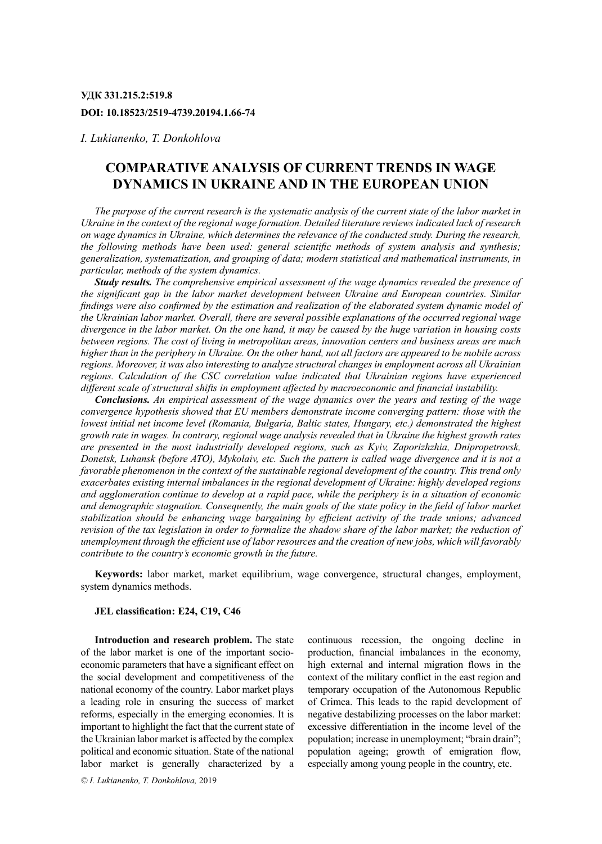## **УДК 331.215.2:519.8 DOI: 10.18523/2519-4739.20194.1.66-74**

*I. Lukianenko, T. Donkohlova*

# **Comparative Analysis of Current Trends in Wage Dynamics in Ukraine and in the European Union**

*The purpose of the current research is the systematic analysis of the current state of the labor market in Ukraine in the context of the regional wage formation. Detailed literature reviews indicated lack of research on wage dynamics in Ukraine, which determines the relevance of the conducted study. During the research, the following methods have been used: general scientific methods of system analysis and synthesis; generalization, systematization, and grouping of data; modern statistical and mathematical instruments, in particular, methods of the system dynamics.*

*Study results. The comprehensive empirical assessment of the wage dynamics revealed the presence of the significant gap in the labor market development between Ukraine and European countries. Similar findings were also confirmed by the estimation and realization of the elaborated system dynamic model of the Ukrainian labor market. Overall, there are several possible explanations of the occurred regional wage divergence in the labor market. On the one hand, it may be caused by the huge variation in housing costs between regions. The cost of living in metropolitan areas, innovation centers and business areas are much higher than in the periphery in Ukraine. On the other hand, not all factors are appeared to be mobile across regions. Moreover, it was also interesting to analyze structural changes in employment across all Ukrainian regions. Calculation of the CSC correlation value indicated that Ukrainian regions have experienced different scale of structural shifts in employment affected by macroeconomic and financial instability.*

*Conclusions. An empirical assessment of the wage dynamics over the years and testing of the wage convergence hypothesis showed that EU members demonstrate income converging pattern: those with the lowest initial net income level (Romania, Bulgaria, Baltic states, Hungary, etc.) demonstrated the highest growth rate in wages. In contrary, regional wage analysis revealed that in Ukraine the highest growth rates are presented in the most industrially developed regions, such as Kyiv, Zaporizhzhia, Dnipropetrovsk, Donetsk, Luhansk (before ATO), Mykolaiv, etc. Such the pattern is called wage divergence and it is not a favorable phenomenon in the context of the sustainable regional development of the country. This trend only exacerbates existing internal imbalances in the regional development of Ukraine: highly developed regions and agglomeration continue to develop at a rapid pace, while the periphery is in a situation of economic and demographic stagnation. Consequently, the main goals of the state policy in the field of labor market stabilization should be enhancing wage bargaining by efficient activity of the trade unions; advanced revision of the tax legislation in order to formalize the shadow share of the labor market; the reduction of unemployment through the efficient use of labor resources and the creation of new jobs, which will favorably contribute to the country's economic growth in the future.*

**Keywords:** labor market, market equilibrium, wage convergence, structural changes, employment, system dynamics methods.

#### **JEL classification: E24, C19, C46**

**Introduction and research problem.** The state of the labor market is one of the important socioeconomic parameters that have a significant effect on the social development and competitiveness of the national economy of the country. Labor market plays a leading role in ensuring the success of market reforms, especially in the emerging economies. It is important to highlight the fact that the current state of the Ukrainian labor market is affected by the complex political and economic situation. State of the national labor market is generally characterized by a

*© I. Lukianenko, T. Donkohlova,* 2019

continuous recession, the ongoing decline in production, financial imbalances in the economy, high external and internal migration flows in the context of the military conflict in the east region and temporary occupation of the Autonomous Republic of Crimea. This leads to the rapid development of negative destabilizing processes on the labor market: excessive differentiation in the income level of the population; increase in unemployment; "brain drain"; population ageing; growth of emigration flow, especially among young people in the country, etc.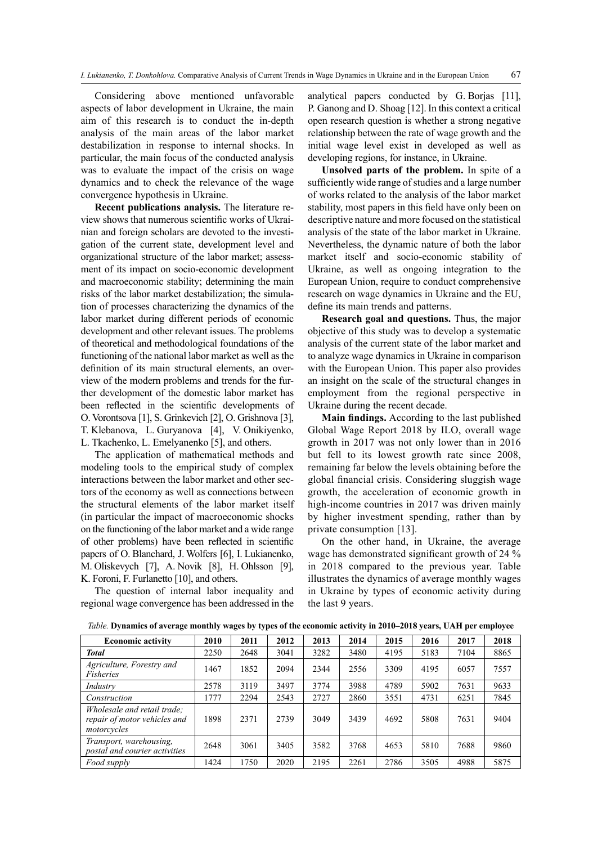Considering above mentioned unfavorable aspects of labor development in Ukraine, the main aim of this research is to conduct the in-depth analysis of the main areas of the labor market destabilization in response to internal shocks. In particular, the main focus of the conducted analysis was to evaluate the impact of the crisis on wage dynamics and to check the relevance of the wage convergence hypothesis in Ukraine.

**Recent publications analysis.** The literature review shows that numerous scientific works of Ukrainian and foreign scholars are devoted to the investigation of the current state, development level and organizational structure of the labor market; assessment of its impact on socio-economic development and macroeconomic stability; determining the main risks of the labor market destabilization; the simulation of processes characterizing the dynamics of the labor market during different periods of economic development and other relevant issues. The problems of theoretical and methodological foundations of the functioning of the national labor market as well as the definition of its main structural elements, an overview of the modern problems and trends for the further development of the domestic labor market has been reflected in the scientific developments of O. Vorontsova [1], S. Grinkevich [2], O. Grishnova [3], T. Klebanova, L. Guryanova [4], V. Onikiyenko, L. Tkachenko, L. Emelyanenko [5], and others.

The application of mathematical methods and modeling tools to the empirical study of complex interactions between the labor market and other sectors of the economy as well as connections between the structural elements of the labor market itself (in particular the impact of macroeconomic shocks on the functioning of the labor market and a wide range of other problems) have been reflected in scientific papers of O. Blanchard, J. Wolfers [6], I. Lukianenko, M. Oliskevych [7], A. Novik [8], H. Ohlsson [9], K. Foroni, F. Furlanetto [10], and others.

The question of internal labor inequality and regional wage convergence has been addressed in the

analytical papers conducted by G. Borjas [11], P. Ganong and D. Shoag [12]. In this context a critical open research question is whether a strong negative relationship between the rate of wage growth and the initial wage level exist in developed as well as developing regions, for instance, in Ukraine.

**Unsolved parts of the problem.** In spite of a sufficiently wide range of studies and a large number of works related to the analysis of the labor market stability, most papers in this field have only been on descriptive nature and more focused on the statistical analysis of the state of the labor market in Ukraine. Nevertheless, the dynamic nature of both the labor market itself and socio-economic stability of Ukraine, as well as ongoing integration to the European Union, require to conduct comprehensive research on wage dynamics in Ukraine and the EU, define its main trends and patterns.

**Research goal and questions.** Thus, the major objective of this study was to develop a systematic analysis of the current state of the labor market and to analyze wage dynamics in Ukraine in comparison with the European Union. This paper also provides an insight on the scale of the structural changes in employment from the regional perspective in Ukraine during the recent decade.

**Main findings.** According to the last published Global Wage Report 2018 by ILO, overall wage growth in 2017 was not only lower than in 2016 but fell to its lowest growth rate since 2008, remaining far below the levels obtaining before the global financial crisis. Considering sluggish wage growth, the acceleration of economic growth in high-income countries in 2017 was driven mainly by higher investment spending, rather than by private consumption [13].

On the other hand, in Ukraine, the average wage has demonstrated significant growth of 24 % in 2018 compared to the previous year. Table illustrates the dynamics of average monthly wages in Ukraine by types of economic activity during the last 9 years.

| <i>haoi</i> c. Dynamics of average monthly wages by types of the economic activity in 2010–2010 years, chill per employee |      |      |      |      |      |      |      |      |      |
|---------------------------------------------------------------------------------------------------------------------------|------|------|------|------|------|------|------|------|------|
| <b>Economic activity</b>                                                                                                  | 2010 | 2011 | 2012 | 2013 | 2014 | 2015 | 2016 | 2017 | 2018 |
| <b>Total</b>                                                                                                              | 2250 | 2648 | 3041 | 3282 | 3480 | 4195 | 5183 | 7104 | 8865 |
| Agriculture, Forestry and<br>Fisheries                                                                                    | 1467 | 1852 | 2094 | 2344 | 2556 | 3309 | 4195 | 6057 | 7557 |
| Industry                                                                                                                  | 2578 | 3119 | 3497 | 3774 | 3988 | 4789 | 5902 | 7631 | 9633 |
| Construction                                                                                                              | 1777 | 2294 | 2543 | 2727 | 2860 | 3551 | 4731 | 6251 | 7845 |
| Wholesale and retail trade;<br>repair of motor vehicles and<br>motorcycles                                                | 1898 | 2371 | 2739 | 3049 | 3439 | 4692 | 5808 | 7631 | 9404 |
| Transport, warehousing,<br>postal and courier activities                                                                  | 2648 | 3061 | 3405 | 3582 | 3768 | 4653 | 5810 | 7688 | 9860 |
| Food supply                                                                                                               | 1424 | 1750 | 2020 | 2195 | 2261 | 2786 | 3505 | 4988 | 5875 |

*Table.* **Dynamics of average monthly wages by types of the economic activity in 2010–2018 years, UAH per employee**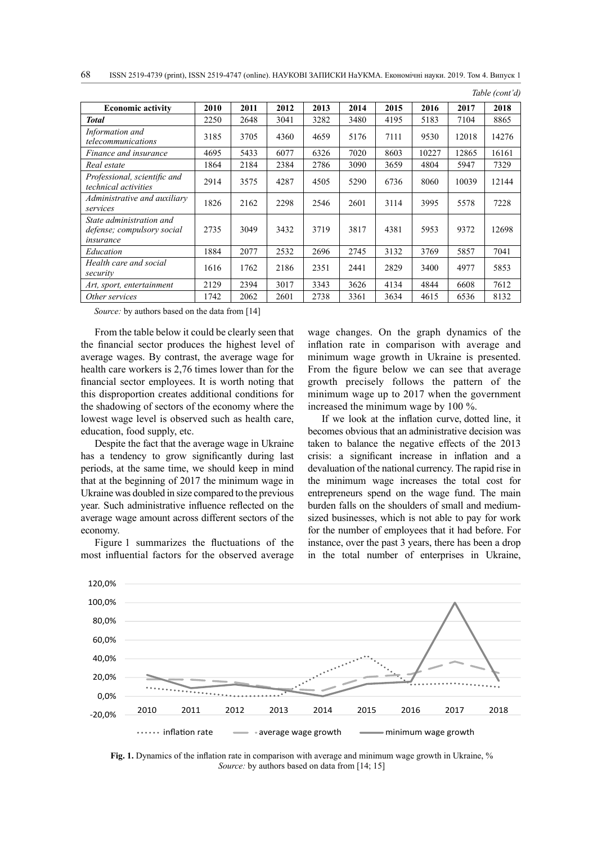| 68 ISSN 2519-4739 (print), ISSN 2519-4747 (online). НАУКОВІ ЗАПИСКИ НаУКМА. Економічні науки. 2019. Том 4. Випуск 1 |  |
|---------------------------------------------------------------------------------------------------------------------|--|
|---------------------------------------------------------------------------------------------------------------------|--|

|                                                                     |      |      |      |      |      |      |       |       | Table (cont'd) |
|---------------------------------------------------------------------|------|------|------|------|------|------|-------|-------|----------------|
| <b>Economic activity</b>                                            | 2010 | 2011 | 2012 | 2013 | 2014 | 2015 | 2016  | 2017  | 2018           |
| <b>Total</b>                                                        | 2250 | 2648 | 3041 | 3282 | 3480 | 4195 | 5183  | 7104  | 8865           |
| Information and<br>telecommunications                               | 3185 | 3705 | 4360 | 4659 | 5176 | 7111 | 9530  | 12018 | 14276          |
| Finance and insurance                                               | 4695 | 5433 | 6077 | 6326 | 7020 | 8603 | 10227 | 12865 | 16161          |
| Real estate                                                         | 1864 | 2184 | 2384 | 2786 | 3090 | 3659 | 4804  | 5947  | 7329           |
| Professional, scientific and<br>technical activities                | 2914 | 3575 | 4287 | 4505 | 5290 | 6736 | 8060  | 10039 | 12144          |
| Administrative and auxiliary<br>services                            | 1826 | 2162 | 2298 | 2546 | 2601 | 3114 | 3995  | 5578  | 7228           |
| State administration and<br>defense; compulsory social<br>insurance | 2735 | 3049 | 3432 | 3719 | 3817 | 4381 | 5953  | 9372  | 12698          |
| Education                                                           | 1884 | 2077 | 2532 | 2696 | 2745 | 3132 | 3769  | 5857  | 7041           |
| Health care and social<br>security                                  | 1616 | 1762 | 2186 | 2351 | 2441 | 2829 | 3400  | 4977  | 5853           |
| Art, sport, entertainment                                           | 2129 | 2394 | 3017 | 3343 | 3626 | 4134 | 4844  | 6608  | 7612           |
| Other services                                                      | 1742 | 2062 | 2601 | 2738 | 3361 | 3634 | 4615  | 6536  | 8132           |

*Source:* by authors based on the data from [14]

From the table below it could be clearly seen that the financial sector produces the highest level of average wages. By contrast, the average wage for health care workers is 2,76 times lower than for the financial sector employees. It is worth noting that this disproportion creates additional conditions for the shadowing of sectors of the economy where the lowest wage level is observed such as health care, education, food supply, etc.

Despite the fact that the average wage in Ukraine has a tendency to grow significantly during last periods, at the same time, we should keep in mind that at the beginning of 2017 the minimum wage in Ukraine was doubled in size compared to the previous year. Such administrative influence reflected on the average wage amount across different sectors of the economy.

Figure 1 summarizes the fluctuations of the most influential factors for the observed average

wage changes. On the graph dynamics of the inflation rate in comparison with average and minimum wage growth in Ukraine is presented. From the figure below we can see that average growth precisely follows the pattern of the minimum wage up to 2017 when the government increased the minimum wage by 100 %.

If we look at the inflation curve, dotted line, it becomes obvious that an administrative decision was taken to balance the negative effects of the 2013 crisis: a significant increase in inflation and a devaluation of the national currency. The rapid rise in the minimum wage increases the total cost for entrepreneurs spend on the wage fund. The main burden falls on the shoulders of small and mediumsized businesses, which is not able to pay for work for the number of employees that it had before. For instance, over the past 3 years, there has been a drop in the total number of enterprises in Ukraine,



**Fig. 1.** Dynamics of the inflation rate in comparison with average and minimum wage growth in Ukraine, % *Source:* by authors based on data from [14; 15]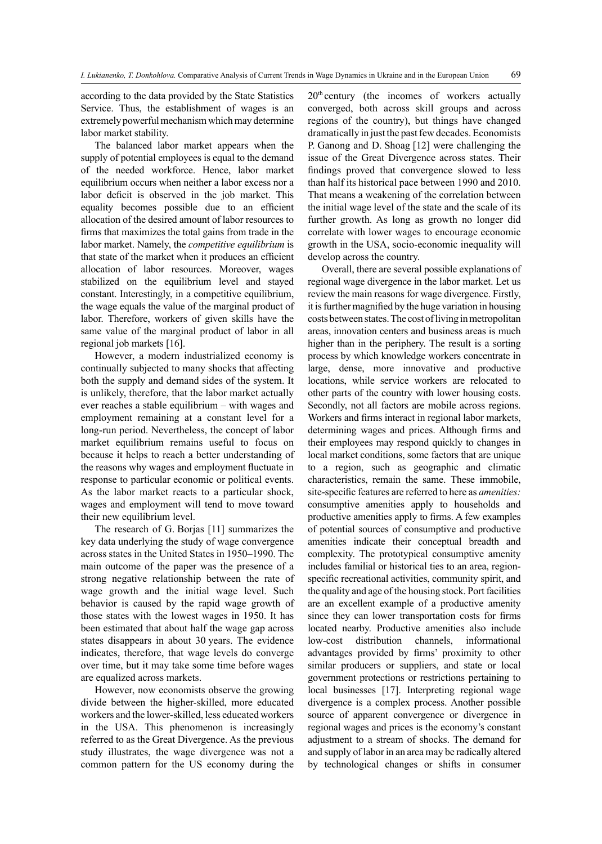according to the data provided by the State Statistics Service. Thus, the establishment of wages is an extremely powerful mechanism which may determine labor market stability.

The balanced labor market appears when the supply of potential employees is equal to the demand of the needed workforce. Hence, labor market equilibrium occurs when neither a labor excess nor a labor deficit is observed in the job market. This equality becomes possible due to an efficient allocation of the desired amount of labor resources to firms that maximizes the total gains from trade in the labor market. Namely, the *competitive equilibrium* is that state of the market when it produces an efficient allocation of labor resources. Moreover, wages stabilized on the equilibrium level and stayed constant. Interestingly, in a competitive equilibrium, the wage equals the value of the marginal product of labor. Therefore, workers of given skills have the same value of the marginal product of labor in all regional job markets [16].

However, a modern industrialized economy is continually subjected to many shocks that affecting both the supply and demand sides of the system. It is unlikely, therefore, that the labor market actually ever reaches a stable equilibrium – with wages and employment remaining at a constant level for a long-run period. Nevertheless, the concept of labor market equilibrium remains useful to focus on because it helps to reach a better understanding of the reasons why wages and employment fluctuate in response to particular economic or political events. As the labor market reacts to a particular shock, wages and employment will tend to move toward their new equilibrium level.

The research of G. Borjas [11] summarizes the key data underlying the study of wage convergence across states in the United States in 1950–1990. The main outcome of the paper was the presence of a strong negative relationship between the rate of wage growth and the initial wage level. Such behavior is caused by the rapid wage growth of those states with the lowest wages in 1950. It has been estimated that about half the wage gap across states disappears in about 30 years. The evidence indicates, therefore, that wage levels do converge over time, but it may take some time before wages are equalized across markets.

However, now economists observe the growing divide between the higher-skilled, more educated workers and the lower-skilled, less educated workers in the USA. This phenomenon is increasingly referred to as the Great Divergence. As the previous study illustrates, the wage divergence was not a common pattern for the US economy during the  $20<sup>th</sup>$  century (the incomes of workers actually converged, both across skill groups and across regions of the country), but things have changed dramatically in just the past few decades. Economists P. Ganong and D. Shoag [12] were challenging the issue of the Great Divergence across states. Their findings proved that convergence slowed to less than half its historical pace between 1990 and 2010. That means a weakening of the correlation between the initial wage level of the state and the scale of its further growth. As long as growth no longer did correlate with lower wages to encourage economic growth in the USA, socio-economic inequality will develop across the country.

Overall, there are several possible explanations of regional wage divergence in the labor market. Let us review the main reasons for wage divergence. Firstly, it is further magnified by the huge variation in housing costs between states. The cost of living in metropolitan areas, innovation centers and business areas is much higher than in the periphery. The result is a sorting process by which knowledge workers concentrate in large, dense, more innovative and productive locations, while service workers are relocated to other parts of the country with lower housing costs. Secondly, not all factors are mobile across regions. Workers and firms interact in regional labor markets, determining wages and prices. Although firms and their employees may respond quickly to changes in local market conditions, some factors that are unique to a region, such as geographic and climatic characteristics, remain the same. These immobile, site-specific features are referred to here as *amenities:*  consumptive amenities apply to households and productive amenities apply to firms. A few examples of potential sources of consumptive and productive amenities indicate their conceptual breadth and complexity. The prototypical consumptive amenity includes familial or historical ties to an area, regionspecific recreational activities, community spirit, and the quality and age of the housing stock. Port facilities are an excellent example of a productive amenity since they can lower transportation costs for firms located nearby. Productive amenities also include low-cost distribution channels, informational advantages provided by firms' proximity to other similar producers or suppliers, and state or local government protections or restrictions pertaining to local businesses [17]. Interpreting regional wage divergence is a complex process. Another possible source of apparent convergence or divergence in regional wages and prices is the economy's constant adjustment to a stream of shocks. The demand for and supply of labor in an area may be radically altered by technological changes or shifts in consumer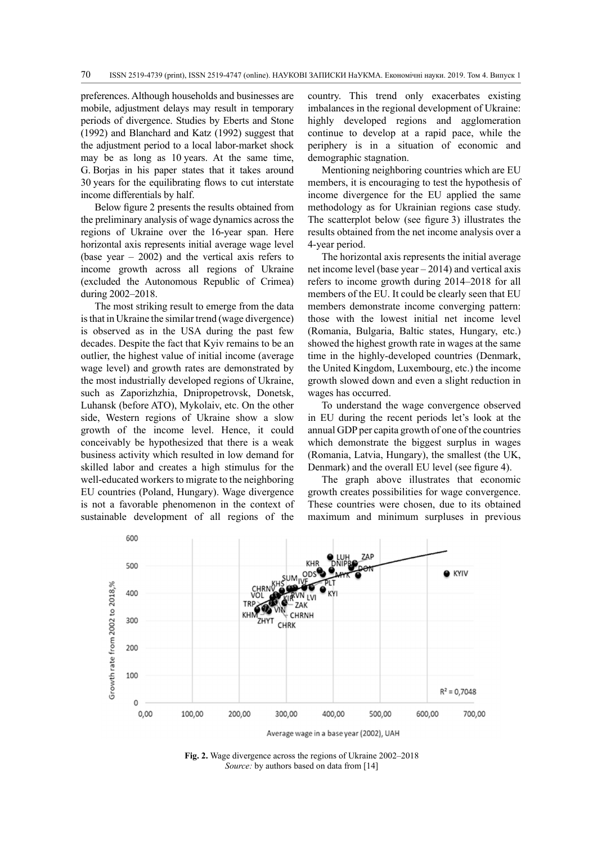preferences. Although households and businesses are mobile, adjustment delays may result in temporary periods of divergence. Studies by Eberts and Stone (1992) and Blanchard and Katz (1992) suggest that the adjustment period to a local labor-market shock may be as long as 10 years. At the same time, G. Borjas in his paper states that it takes around 30 years for the equilibrating flows to cut interstate income differentials by half.

Below figure 2 presents the results obtained from the preliminary analysis of wage dynamics across the regions of Ukraine over the 16-year span. Here horizontal axis represents initial average wage level (base year – 2002) and the vertical axis refers to income growth across all regions of Ukraine (excluded the Autonomous Republic of Crimea) during 2002–2018.

The most striking result to emerge from the data is that in Ukraine the similar trend (wage divergence) is observed as in the USA during the past few decades. Despite the fact that Kyiv remains to be an outlier, the highest value of initial income (average wage level) and growth rates are demonstrated by the most industrially developed regions of Ukraine, such as Zaporizhzhia, Dnipropetrovsk, Donetsk, Luhansk (before ATO), Mykolaiv, etc. On the other side, Western regions of Ukraine show a slow growth of the income level. Hence, it could conceivably be hypothesized that there is a weak business activity which resulted in low demand for skilled labor and creates a high stimulus for the well-educated workers to migrate to the neighboring EU countries (Poland, Hungary). Wage divergence is not a favorable phenomenon in the context of sustainable development of all regions of the

country. This trend only exacerbates existing imbalances in the regional development of Ukraine: highly developed regions and agglomeration continue to develop at a rapid pace, while the periphery is in a situation of economic and demographic stagnation.

Mentioning neighboring countries which are EU members, it is encouraging to test the hypothesis of income divergence for the EU applied the same methodology as for Ukrainian regions case study. The scatterplot below (see figure 3) illustrates the results obtained from the net income analysis over a 4-year period.

The horizontal axis represents the initial average net income level (base year – 2014) and vertical axis refers to income growth during 2014–2018 for all members of the EU. It could be clearly seen that EU members demonstrate income converging pattern: those with the lowest initial net income level (Romania, Bulgaria, Baltic states, Hungary, etc.) showed the highest growth rate in wages at the same time in the highly-developed countries (Denmark, the United Kingdom, Luxembourg, etc.) the income growth slowed down and even a slight reduction in wages has occurred.

To understand the wage convergence observed in EU during the recent periods let's look at the annual GDP per capita growth of one of the countries which demonstrate the biggest surplus in wages (Romania, Latvia, Hungary), the smallest (the UK, Denmark) and the overall EU level (see figure 4).

The graph above illustrates that economic growth creates possibilities for wage convergence. These countries were chosen, due to its obtained maximum and minimum surpluses in previous



**Fig. 2.** Wage divergence across the regions of Ukraine 2002–2018 *Source:* by authors based on data from [14]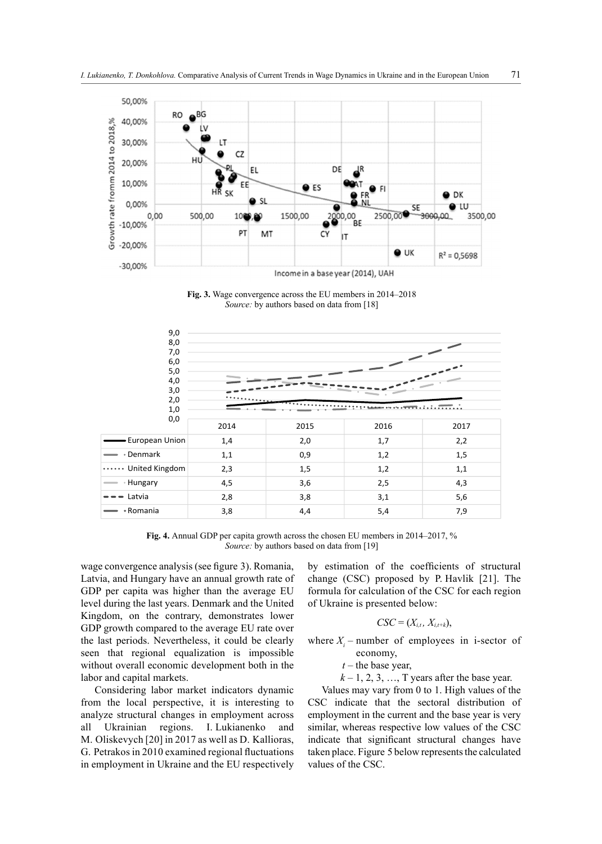

**Fig. 3.** Wage convergence across the EU members in 2014–2018 *Source:* by authors based on data from [18]



**Fig. 4.** Annual GDP per capita growth across the chosen EU members in 2014–2017, % *Source:* by authors based on data from [19]

wage convergence analysis (see figure 3). Romania, Latvia, and Hungary have an annual growth rate of GDP per capita was higher than the average EU level during the last years. Denmark and the United Kingdom, on the contrary, demonstrates lower GDP growth compared to the average EU rate over the last periods. Nevertheless, it could be clearly seen that regional equalization is impossible without overall economic development both in the labor and capital markets.

Considering labor market indicators dynamic from the local perspective, it is interesting to analyze structural changes in employment across all Ukrainian regions. I. Lukianenko and M. Oliskevych [20] in 2017 as well as D. Kallioras, G. Petrakos in 2010 examined regional fluctuations in employment in Ukraine and the EU respectively by estimation of the coefficients of structural change (CSC) proposed by P. Havlik [21]. The formula for calculation of the CSC for each region of Ukraine is presented below:

### $CSC = (X_{i,t}, X_{i,t+k}),$

where  $X_i$  – number of employees in i-sector of economy,

 $t$  – the base year,

 $k-1, 2, 3, \ldots$ , T years after the base year.

Values may vary from 0 to 1. High values of the CSC indicate that the sectoral distribution of employment in the current and the base year is very similar, whereas respective low values of the CSC indicate that significant structural changes have taken place. Figure 5 below represents the calculated values of the CSC.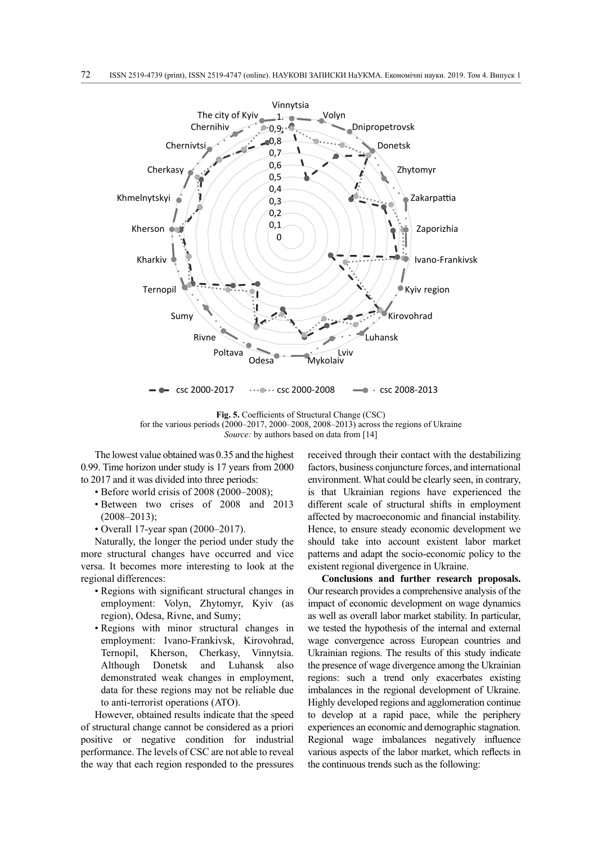

**Fig. 5.** Coefficients of Structural Change (CSC) for the various periods (2000–2017, 2000–2008, 2008–2013) across the regions of Ukraine *Source:* by authors based on data from [14]

The lowest value obtained was 0.35 and the highest 0.99. Time horizon under study is 17 years from 2000 to 2017 and it was divided into three periods:

- Before world crisis of 2008 (2000–2008);
- Between two crises of 2008 and 2013  $(2008 - 2013);$
- Overall 17-year span (2000–2017).

Naturally, the longer the period under study the more structural changes have occurred and vice versa. It becomes more interesting to look at the regional differences:

- Regions with significant structural changes in employment: Volyn, Zhytomyr, Kyiv (as region), Odesa, Rivne, and Sumy;
- Regions with minor structural changes in employment: Ivano-Frankivsk, Kirovohrad, Ternopil, Kherson, Cherkasy, Vinnytsia. Although Donetsk and Luhansk also demonstrated weak changes in employment, data for these regions may not be reliable due to anti-terrorist operations (ATO).

However, obtained results indicate that the speed of structural change cannot be considered as a priori positive or negative condition for industrial performance. The levels of CSC are not able to reveal the way that each region responded to the pressures

received through their contact with the destabilizing factors, business conjuncture forces, and international environment. What could be clearly seen, in contrary, is that Ukrainian regions have experienced the different scale of structural shifts in employment affected by macroeconomic and financial instability. Hence, to ensure steady economic development we should take into account existent labor market patterns and adapt the socio-economic policy to the existent regional divergence in Ukraine.

**Conclusions and further research proposals.**  Our research provides a comprehensive analysis of the impact of economic development on wage dynamics as well as overall labor market stability. In particular, we tested the hypothesis of the internal and external wage convergence across European countries and Ukrainian regions. The results of this study indicate the presence of wage divergence among the Ukrainian regions: such a trend only exacerbates existing imbalances in the regional development of Ukraine. Highly developed regions and agglomeration continue to develop at a rapid pace, while the periphery experiences an economic and demographic stagnation. Regional wage imbalances negatively influence various aspects of the labor market, which reflects in the continuous trends such as the following: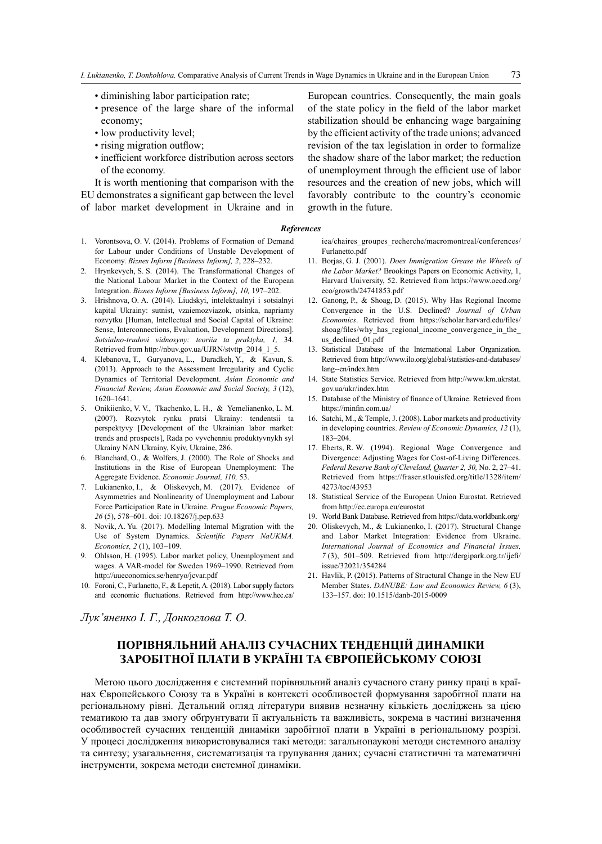- diminishing labor participation rate;
- presence of the large share of the informal economy;
- low productivity level;
- rising migration outflow;
- inefficient workforce distribution across sectors of the economy.

It is worth mentioning that comparison with the EU demonstrates a significant gap between the level of labor market development in Ukraine and in

European countries. Consequently, the main goals of the state policy in the field of the labor market stabilization should be enhancing wage bargaining by the efficient activity of the trade unions; advanced revision of the tax legislation in order to formalize the shadow share of the labor market; the reduction of unemployment through the efficient use of labor resources and the creation of new jobs, which will favorably contribute to the country's economic growth in the future.

#### *References*

- 1. Vorontsova, O. V. (2014). Problems of Formation of Demand for Labour under Conditions of Unstable Development of Economy. *Biznes Inform [Business Inform], 2*, 228–232.
- 2. Hrynkevych, S. S. (2014). The Transformational Changes of the National Labour Market in the Context of the European Integration. *Biznes Inform [Business Inform], 10,* 197–202.
- 3. Hrishnova, О. А. (2014). Liudskyi, intelektualnyi i sotsialnyi kapital Ukrainy: sutnist, vzaiemozviazok, otsinka, napriamy rozvytku [Human, Intellectual and Social Capital of Ukraine: Sense, Interconnections, Evaluation, Development Directions]. *Sotsialno-trudovi vidnosyny: teoriia ta praktyka, 1,* 34. Retrieved from http://nbuv.gov.ua/UJRN/stvttp\_2014\_1\_5.
- 4. Klebanova, T., Guryanova, L., Daradkeh, Y., & Kavun, S. (2013). Approach to the Assessment Irregularity and Cyclic Dynamics of Territorial Development. *Asian Economic and Financial Review, Asian Economic and Social Society, 3* (12), 1620–1641.
- 5. Onikiienko, V. V., Tkachenko, L. H., & Yemelianenko, L. M. (2007). Rozvytok rynku pratsi Ukrainy: tendentsii ta perspektyvy [Development of the Ukrainian labor market: trends and prospects], Rada po vyvchenniu produktyvnykh syl Ukrainy NAN Ukrainy, Kyiv, Ukraine, 286.
- 6. Blanchard, O., & Wolfers, J. (2000). The Role of Shocks and Institutions in the Rise of European Unemployment: The Aggregate Evidence. *Economic Journal, 110,* 53.
- 7. Lukianenko, I., & Oliskevych, M. (2017). Evidence of Asymmetries and Nonlinearity of Unemployment and Labour Force Participation Rate in Ukraine. *Prague Economic Papers, 26* (5), 578–601. doi: 10.18267/j.pep.633
- 8. Novik, A. Yu. (2017). Modelling Internal Migration with the Use of System Dynamics. *Scientific Papers NaUKMA. Economics, 2* (1), 103–109.
- 9. Ohlsson, H. (1995). Labor market policy, Unemployment and wages. A VAR-model for Sweden 1969–1990. Retrieved from http://uueconomics.se/henryo/jcvar.pdf
- 10. Foroni, C., Furlanetto, F., & Lepetit, A. (2018). Labor supply factors and economic fluctuations. Retrieved from http://www.hec.ca/

*Лук'яненко І. Г., Донкоглова Т. О.*

iea/chaires\_groupes\_recherche/macromontreal/conferences/ Furlanetto.pdf

- 11. Borjas, G. J. (2001). *Does Immigration Grease the Wheels of the Labor Market?* Brookings Papers on Economic Activity, 1, Harvard University, 52. Retrieved from https://www.oecd.org/ eco/growth/24741853.pdf
- 12. Ganong, P., & Shoag, D. (2015). Why Has Regional Income Convergence in the U.S. Declined? *Journal of Urban Economics*. Retrieved from https://scholar.harvard.edu/files/ shoag/files/why\_has\_regional\_income\_convergence\_in\_the\_ us declined 01.pdf
- 13. Statistical Database of the International Labor Organization. Retrieved from http://www.ilo.org/global/statistics-and-databases/ lang--en/index.htm
- 14. State Statistics Service. Retrieved from http://www.km.ukrstat. gov.ua/ukr/index.htm
- 15. Database of the Ministry of finance of Ukraine. Retrieved from https://minfin.com.ua/
- 16. Satchi, M., & Temple, J. (2008). Labor markets and productivity in developing countries. *Review of Economic Dynamics, 12* (1), 183–204.
- 17. Eberts, R. W. (1994). Regional Wage Convergence and Divergence: Adjusting Wages for Cost-of-Living Differences. *Federal Reserve Bank of Cleveland, Quarter 2, 30,* No. 2, 27–41. Retrieved from https://fraser.stlouisfed.org/title/1328/item/ 4273/toc/43953
- 18. Statistical Service of the European Union Eurostat. Retrieved from http://ec.europa.eu/eurostat
- 19. World Bank Database. Retrieved from https://data.worldbank.org/
- 20. Oliskevych, M., & Lukianenko, I. (2017). Structural Change and Labor Market Integration: Evidence from Ukraine. *International Journal of Economics and Financial Issues, 7* (3), 501–509. Retrieved from http://dergipark.org.tr/ijefi/ issue/32021/354284
- 21. Havlik, P. (2015). Patterns of Structural Change in the New EU Member States. *DANUBE: Law and Economics Review, 6* (3), 133–157. doi: 10.1515/danb-2015-0009

## **ПОРІВНЯЛЬНИЙ АНАЛІЗ СУЧАСНИХ ТЕНДЕНЦІЙ ДИНАМІКИ ЗАРОБІТНОЇ ПЛАТИ В УКРАЇНІ ТА ЄВРОПЕЙСЬКОМУ СОЮЗІ**

Метою цього дослідження є системний порівняльний аналіз сучасного стану ринку праці в країнах Європейського Союзу та в Україні в контексті особливостей формування заробітної плати на регіональному рівні. Детальний огляд літератури виявив незначну кількість досліджень за цією тематикою та дав змогу обґрунтувати її актуальність та важливість, зокрема в частині визначення особливостей сучасних тенденцій динаміки заробітної плати в Україні в регіональному розрізі. У процесі дослідження використовувалися такі методи: загальнонаукові методи системного аналізу та синтезу; узагальнення, систематизація та групування даних; сучасні статистичні та математичні інструменти, зокрема методи системної динаміки.